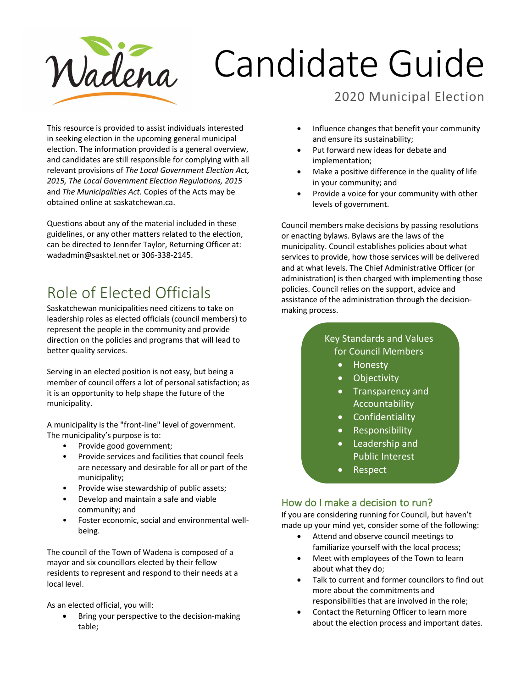

# Candidate Guide

# 2020 Municipal Election

This resource is provided to assist individuals interested in seeking election in the upcoming general municipal election. The information provided is a general overview, and candidates are still responsible for complying with all relevant provisions of *The Local Government Election Act, 2015, The Local Government Election Regulations, 2015*  and *The Municipalities Act.* Copies of the Acts may be obtained online at saskatchewan.ca.

Questions about any of the material included in these guidelines, or any other matters related to the election, can be directed to Jennifer Taylor, Returning Officer at: wadadmin@sasktel.net or 306-338-2145.

# Role of Elected Officials

Saskatchewan municipalities need citizens to take on leadership roles as elected officials (council members) to represent the people in the community and provide direction on the policies and programs that will lead to better quality services.

Serving in an elected position is not easy, but being a member of council offers a lot of personal satisfaction; as it is an opportunity to help shape the future of the municipality.

A municipality is the "front-line" level of government. The municipality's purpose is to:

- Provide good government;
- Provide services and facilities that council feels are necessary and desirable for all or part of the municipality;
- Provide wise stewardship of public assets;
- Develop and maintain a safe and viable community; and
- Foster economic, social and environmental wellbeing.

The council of the Town of Wadena is composed of a mayor and six councillors elected by their fellow residents to represent and respond to their needs at a local level.

As an elected official, you will:

• Bring your perspective to the decision-making table;

- Influence changes that benefit your community and ensure its sustainability;
- Put forward new ideas for debate and implementation;
- Make a positive difference in the quality of life in your community; and
- Provide a voice for your community with other levels of government.

Council members make decisions by passing resolutions or enacting bylaws. Bylaws are the laws of the municipality. Council establishes policies about what services to provide, how those services will be delivered and at what levels. The Chief Administrative Officer (or administration) is then charged with implementing those policies. Council relies on the support, advice and assistance of the administration through the decisionmaking process.

#### Key Standards and Values for Council Members

- Honesty
- Objectivity
- Transparency and Accountability
- **Confidentiality**
- Responsibility
- Leadership and Public Interest
	- Respect

#### How do I make a decision to run?

If you are considering running for Council, but haven't made up your mind yet, consider some of the following:

- Attend and observe council meetings to familiarize yourself with the local process;
- Meet with employees of the Town to learn about what they do;
- Talk to current and former councilors to find out more about the commitments and responsibilities that are involved in the role;
- Contact the Returning Officer to learn more about the election process and important dates.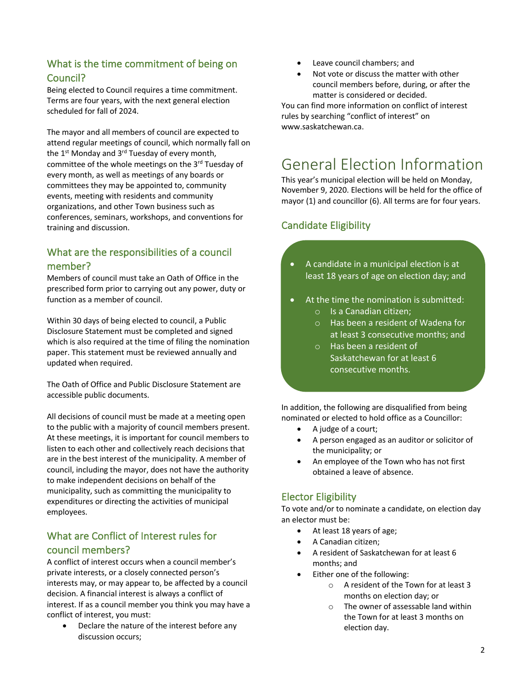## What is the time commitment of being on Council?

Being elected to Council requires a time commitment. Terms are four years, with the next general election scheduled for fall of 2024.

The mayor and all members of council are expected to attend regular meetings of council, which normally fall on the  $1<sup>st</sup>$  Monday and  $3<sup>rd</sup>$  Tuesday of every month, committee of the whole meetings on the 3<sup>rd</sup> Tuesday of every month, as well as meetings of any boards or committees they may be appointed to, community events, meeting with residents and community organizations, and other Town business such as conferences, seminars, workshops, and conventions for training and discussion.

### What are the responsibilities of a council member?

Members of council must take an Oath of Office in the prescribed form prior to carrying out any power, duty or function as a member of council.

Within 30 days of being elected to council, a Public Disclosure Statement must be completed and signed which is also required at the time of filing the nomination paper. This statement must be reviewed annually and updated when required.

The Oath of Office and Public Disclosure Statement are accessible public documents.

All decisions of council must be made at a meeting open to the public with a majority of council members present. At these meetings, it is important for council members to listen to each other and collectively reach decisions that are in the best interest of the municipality. A member of council, including the mayor, does not have the authority to make independent decisions on behalf of the municipality, such as committing the municipality to expenditures or directing the activities of municipal employees.

## What are Conflict of Interest rules for council members?

A conflict of interest occurs when a council member's private interests, or a closely connected person's interests may, or may appear to, be affected by a council decision. A financial interest is always a conflict of interest. If as a council member you think you may have a conflict of interest, you must:

• Declare the nature of the interest before any discussion occurs;

- Leave council chambers; and
- Not vote or discuss the matter with other council members before, during, or after the matter is considered or decided.

You can find more information on conflict of interest rules by searching "conflict of interest" on www.saskatchewan.ca.

# General Election Information

This year's municipal election will be held on Monday, November 9, 2020. Elections will be held for the office of mayor (1) and councillor (6). All terms are for four years.

## Candidate Eligibility

- A candidate in a municipal election is at least 18 years of age on election day; and
- At the time the nomination is submitted:
	- o Is a Canadian citizen;
	- o Has been a resident of Wadena for at least 3 consecutive months; and
	- o Has been a resident of Saskatchewan for at least 6 consecutive months.

In addition, the following are disqualified from being nominated or elected to hold office as a Councillor:

- A judge of a court;
- A person engaged as an auditor or solicitor of the municipality; or
- An employee of the Town who has not first obtained a leave of absence.

## Elector Eligibility

To vote and/or to nominate a candidate, on election day an elector must be:

- At least 18 years of age;
- A Canadian citizen;
- A resident of Saskatchewan for at least 6 months; and
- Either one of the following:
	- o A resident of the Town for at least 3 months on election day; or
		- o The owner of assessable land within the Town for at least 3 months on election day.